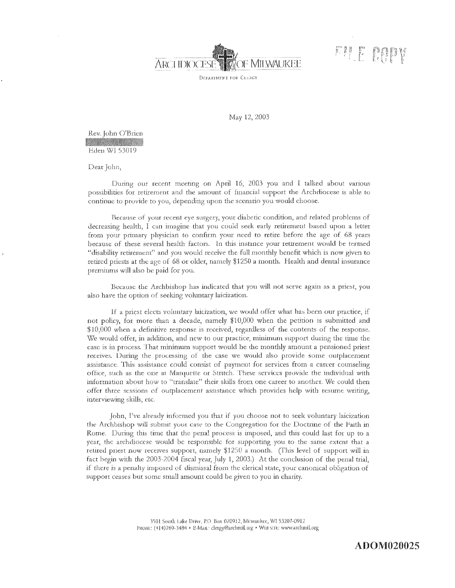

FILE OPP

DEPARTMENT FOR CLERGY

May 12, 2003

Rev. John O'Brien Eden WI 53019

Dear John,

During our recent meeting on April 16, 2003 you and I talked about various possibilities for retirement and the amount of financial support the Archdiocese is able to continue to provide to you, depending upon the scenario you would choose.

Because of your recent eye surgery, your diabetic condition, and related problems of decreasing health, I can imagine that you could seek early retirement based upon a letter from your primary physician to confirm your need to retire before the age of 68 years because of these several health factors. In this instance your retirement would be termed "disability retirement" and you would receive the full monthly benefit which is now given to retired priests at the age of 68 or older, namely \$1250 a month. Health and dental insurance premiums will also be paid for you.

Because the Archbishop has indicated that you will not serve again as a priest, you also have the option of seeking voluntary laicization.

If a priest elects voluntary laicization, we would offer what has been our practice, if not policy, for more than a decade, namely \$10,000 when the petition is submitted and \$10,000 when a definitive response is received, regardless of the contents of the response. We would offer, in addition, and new to our practice, minimum support during the time the case is in process. That minimum support would be the monthly amount a pensioned priest receives. During the processing of the case we would also provide some outplacement assistance. This assistance could consist of payment for services from a career counseling office, such as the one at Marquette or Stritch. These services provide the individual with information about how to "translate" their skills from one career to another. We could then offer three sessions of outplacement assistance which provides help with resume writing, interviewing skills, etc.

John, I've already informed you that if you choose not to seek voluntary laicization the Archbishop will submit your case to the Congregation for the Doctrine of the Faith in Rome. During this time that the penal process is imposed, and this could last for up to a year, the archdiocese would be responsible for supporting you to the same extent that a retired priest now receives support, namely \$1250 a month. (This level of support will in fact begin with the 2003-2004 fiscal year, July 1, 2003.) At the conclusion of the penal trial, if there is a penalty imposed of dismissal from the clerical state, your canonical obligation of support ceases but some small amount could be given to you in charity.

> 3501 South Lake Drive, P.O. Box 070912, Milwaukee, WI 53207-0912 PHONE: (414)769-3484 · E-MAIL: clergy@archmil.org · WEB SITE: www.archmil.org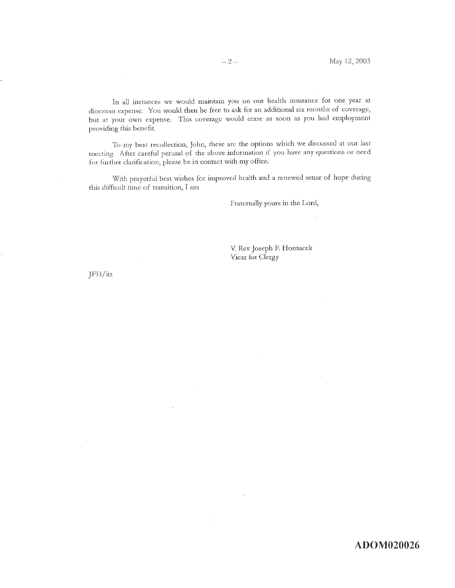In all instances we would maintain you on our health insurance for one year at diocesan expense. You would then be free to ask for an additional six months of coverage, but at your own expense. This coverage would cease as soon as you had employment

To my best recollection, John, these are the options which we discussed at our last meeting. After careful perusal of the above information if you have any questions or need for further clarification, please be in contact with my office.

With prayerful best wishes for improved health and a renewed sense of hope during this difficult time of transition, I am

Fraternally yours in the Lord,

V. Rev. Joseph F. Hornacek Vicar for Clergy

 $JFH/kg$ 

providing this benefit.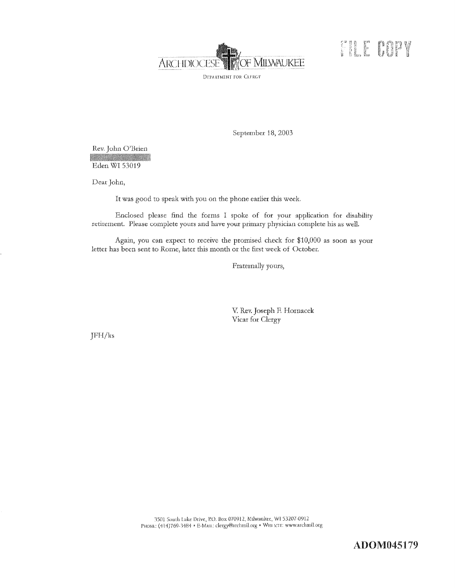

**COLE COPY** 

September 18, 2003

Rev. John O'Brien

**Production of the Contract of State** Eden WI 53019

Dear John,

It was good to speak with you on the phone earlier this week.

Enclosed please find the forms I spoke of for your application for disability retirement. Please complete yours and have your primary physician complete his as well.

Again, you can expect to receive the promised check for \$10,000 as soon as your letter has been sent to Rome, later this month or the first week of October.

Fraternally yours,

V. Rev. Joseph F. Hornacek Vicar for Clergy

 $JFH/kg$ 

3501 South Lake Drive, P.O. Box 070912, Milwaukee, WI 53207-0912 PHONE: (414)769-3484 · E-MAIL: clergy@archmil.org · WEB SITE: www.archmil.org